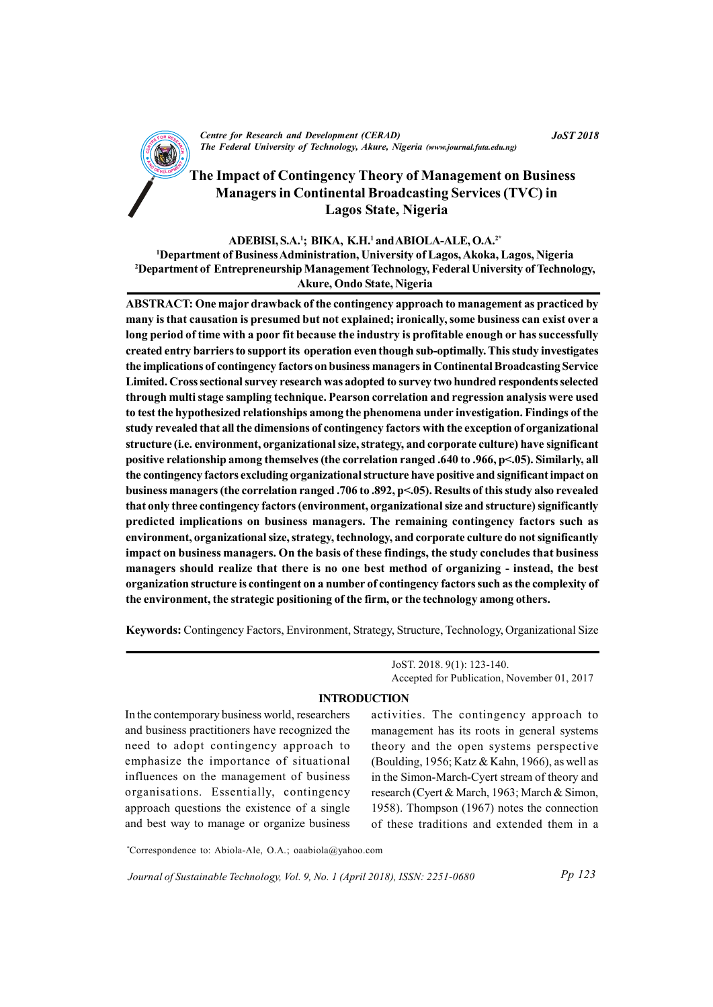

CENTRE FOR RESEARCH AND DEVELOPMENT (CENTRE)<br>The Federal University of Technology, Akure, Nigeria (www.journal.futa.edu.ng) Centre for Research and Development (CERAD)

# The Impact of Contingency Theory of Management on Business Managers in Continental Broadcasting Services (TVC) in Lagos State, Nigeria

#### ADEBISI, S.A.<sup>1</sup>; BIKA, K.H.<sup>1</sup> and ABIOLA-ALE, O.A.<sup>2\*</sup>

<sup>1</sup>Department of Business Administration, University of Lagos, Akoka, Lagos, Nigeria <sup>2</sup>Department of Entrepreneurship Management Technology, Federal University of Technology, Akure, Ondo State, Nigeria

ABSTRACT: One major drawback of the contingency approach to management as practiced by many is that causation is presumed but not explained; ironically, some business can exist over a long period of time with a poor fit because the industry is profitable enough or has successfully created entry barriers to support its operation even though sub-optimally. This study investigates the implications of contingency factors on business managers in Continental Broadcasting Service Limited. Cross sectional survey research was adopted to survey two hundred respondents selected through multi stage sampling technique. Pearson correlation and regression analysis were used to test the hypothesized relationships among the phenomena under investigation. Findings of the study revealed that all the dimensions of contingency factors with the exception of organizational structure (i.e. environment, organizational size, strategy, and corporate culture) have significant positive relationship among themselves (the correlation ranged .640 to .966, p<.05). Similarly, all the contingency factors excluding organizational structure have positive and significant impact on business managers (the correlation ranged .706 to .892, p<.05). Results of this study also revealed that only three contingency factors (environment, organizational size and structure) significantly predicted implications on business managers. The remaining contingency factors such as environment, organizational size, strategy, technology, and corporate culture do not significantly impact on business managers. On the basis of these findings, the study concludes that business managers should realize that there is no one best method of organizing - instead, the best organization structure is contingent on a number of contingency factors such as the complexity of the environment, the strategic positioning of the firm, or the technology among others.

Keywords: Contingency Factors, Environment, Strategy, Structure, Technology, Organizational Size

JoST. 2018. 9(1): 123-140. Accepted for Publication, November 01, 2017

### INTRODUCTION

In the contemporary business world, researchers and business practitioners have recognized the need to adopt contingency approach to emphasize the importance of situational influences on the management of business organisations. Essentially, contingency approach questions the existence of a single and best way to manage or organize business activities. The contingency approach to management has its roots in general systems theory and the open systems perspective (Boulding, 1956; Katz & Kahn, 1966), as well as in the Simon-March-Cyert stream of theory and research (Cyert & March, 1963; March & Simon, 1958). Thompson (1967) notes the connection of these traditions and extended them in a

\*Correspondence to: Abiola-Ale, O.A.; oaabiola@yahoo.com

Journal of Sustainable Technology, Vol. 9, No. 1 (April 2018), ISSN: 2251-0680

JoST 2018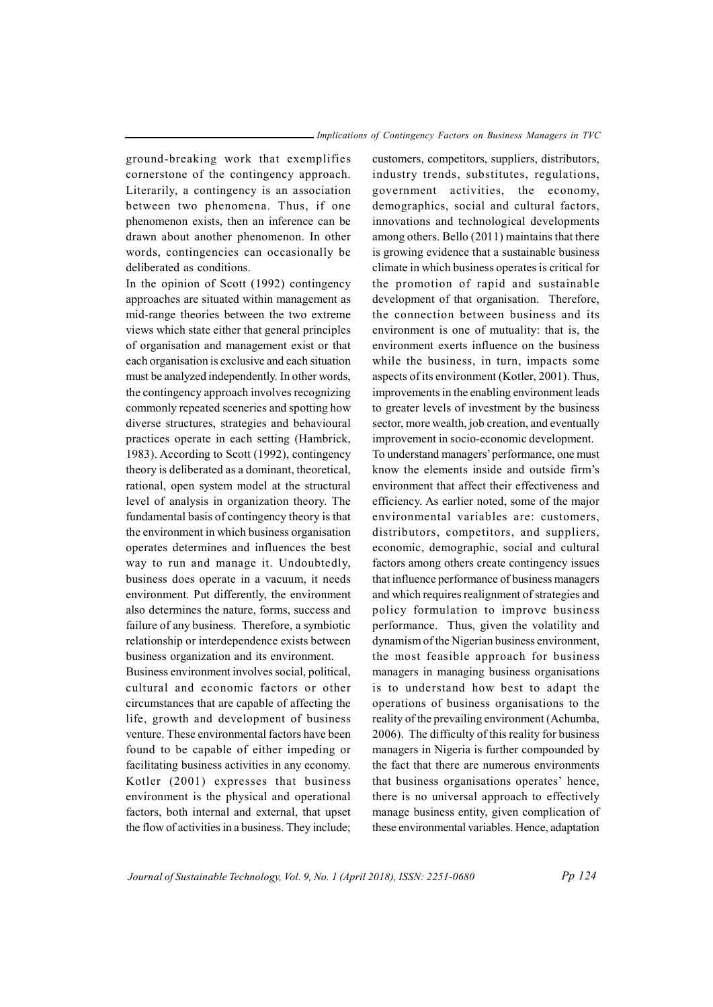ground-breaking work that exemplifies cornerstone of the contingency approach. Literarily, a contingency is an association between two phenomena. Thus, if one phenomenon exists, then an inference can be drawn about another phenomenon. In other words, contingencies can occasionally be deliberated as conditions.

In the opinion of Scott (1992) contingency approaches are situated within management as mid-range theories between the two extreme views which state either that general principles of organisation and management exist or that each organisation is exclusive and each situation must be analyzed independently. In other words, the contingency approach involves recognizing commonly repeated sceneries and spotting how diverse structures, strategies and behavioural practices operate in each setting (Hambrick, 1983). According to Scott (1992), contingency theory is deliberated as a dominant, theoretical, rational, open system model at the structural level of analysis in organization theory. The fundamental basis of contingency theory is that the environment in which business organisation operates determines and influences the best way to run and manage it. Undoubtedly, business does operate in a vacuum, it needs environment. Put differently, the environment also determines the nature, forms, success and failure of any business. Therefore, a symbiotic relationship or interdependence exists between business organization and its environment.

Business environment involves social, political, cultural and economic factors or other circumstances that are capable of affecting the life, growth and development of business venture. These environmental factors have been found to be capable of either impeding or facilitating business activities in any economy. Kotler (2001) expresses that business environment is the physical and operational factors, both internal and external, that upset the flow of activities in a business. They include;

customers, competitors, suppliers, distributors, industry trends, substitutes, regulations, government activities, the economy, demographics, social and cultural factors, innovations and technological developments among others. Bello (2011) maintains that there is growing evidence that a sustainable business climate in which business operates is critical for the promotion of rapid and sustainable development of that organisation. Therefore, the connection between business and its environment is one of mutuality: that is, the environment exerts influence on the business while the business, in turn, impacts some aspects of its environment (Kotler, 2001). Thus, improvements in the enabling environment leads to greater levels of investment by the business sector, more wealth, job creation, and eventually improvement in socio-economic development. To understand managers' performance, one must know the elements inside and outside firm's environment that affect their effectiveness and efficiency. As earlier noted, some of the major environmental variables are: customers, distributors, competitors, and suppliers, economic, demographic, social and cultural factors among others create contingency issues that influence performance of business managers and which requires realignment of strategies and policy formulation to improve business performance. Thus, given the volatility and dynamism of the Nigerian business environment, the most feasible approach for business managers in managing business organisations is to understand how best to adapt the operations of business organisations to the reality of the prevailing environment (Achumba, 2006). The difficulty of this reality for business managers in Nigeria is further compounded by the fact that there are numerous environments that business organisations operates' hence, there is no universal approach to effectively manage business entity, given complication of these environmental variables. Hence, adaptation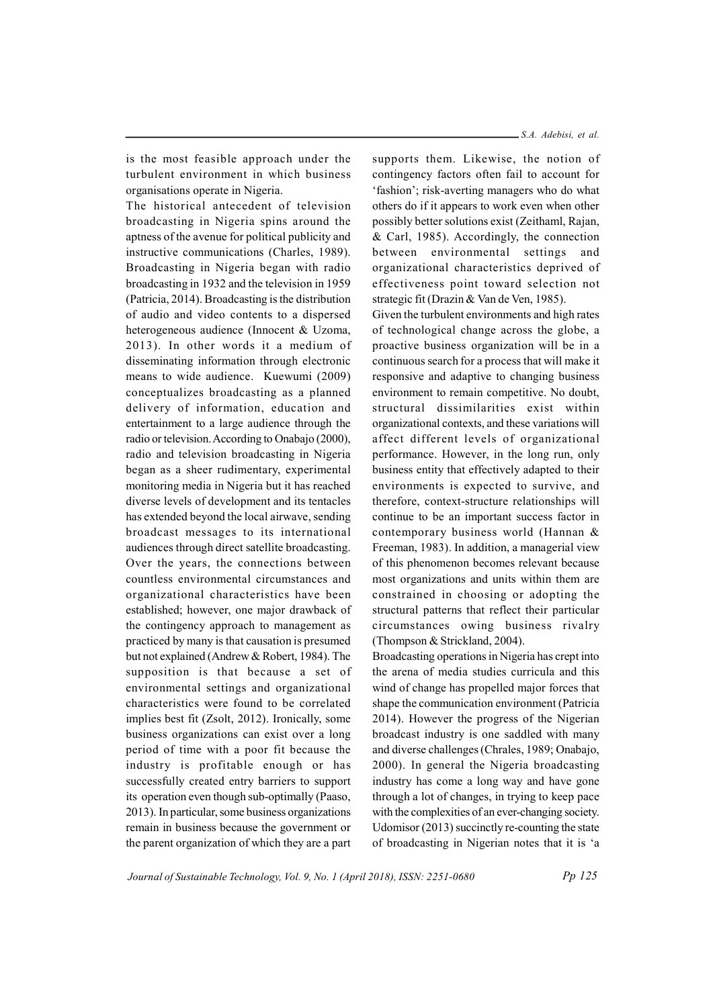is the most feasible approach under the turbulent environment in which business organisations operate in Nigeria.

The historical antecedent of television broadcasting in Nigeria spins around the aptness of the avenue for political publicity and instructive communications (Charles, 1989). Broadcasting in Nigeria began with radio broadcasting in 1932 and the television in 1959 (Patricia, 2014). Broadcasting is the distribution of audio and video contents to a dispersed heterogeneous audience (Innocent & Uzoma, 2013). In other words it a medium of disseminating information through electronic means to wide audience. Kuewumi (2009) conceptualizes broadcasting as a planned delivery of information, education and entertainment to a large audience through the radio or television. According to Onabajo (2000), radio and television broadcasting in Nigeria began as a sheer rudimentary, experimental monitoring media in Nigeria but it has reached diverse levels of development and its tentacles has extended beyond the local airwave, sending broadcast messages to its international audiences through direct satellite broadcasting. Over the years, the connections between countless environmental circumstances and organizational characteristics have been established; however, one major drawback of the contingency approach to management as practiced by many is that causation is presumed but not explained (Andrew & Robert, 1984). The supposition is that because a set of environmental settings and organizational characteristics were found to be correlated implies best fit (Zsolt, 2012). Ironically, some business organizations can exist over a long period of time with a poor fit because the industry is profitable enough or has successfully created entry barriers to support its operation even though sub-optimally (Paaso, 2013). In particular, some business organizations remain in business because the government or the parent organization of which they are a part

supports them. Likewise, the notion of contingency factors often fail to account for 'fashion'; risk-averting managers who do what others do if it appears to work even when other possibly better solutions exist (Zeithaml, Rajan, & Carl, 1985). Accordingly, the connection between environmental settings and organizational characteristics deprived of effectiveness point toward selection not strategic fit (Drazin & Van de Ven, 1985).

Given the turbulent environments and high rates of technological change across the globe, a proactive business organization will be in a continuous search for a process that will make it responsive and adaptive to changing business environment to remain competitive. No doubt, structural dissimilarities exist within organizational contexts, and these variations will affect different levels of organizational performance. However, in the long run, only business entity that effectively adapted to their environments is expected to survive, and therefore, context-structure relationships will continue to be an important success factor in contemporary business world (Hannan & Freeman, 1983). In addition, a managerial view of this phenomenon becomes relevant because most organizations and units within them are constrained in choosing or adopting the structural patterns that reflect their particular circumstances owing business rivalry (Thompson & Strickland, 2004).

Broadcasting operations in Nigeria has crept into the arena of media studies curricula and this wind of change has propelled major forces that shape the communication environment (Patricia 2014). However the progress of the Nigerian broadcast industry is one saddled with many and diverse challenges (Chrales, 1989; Onabajo, 2000). In general the Nigeria broadcasting industry has come a long way and have gone through a lot of changes, in trying to keep pace with the complexities of an ever-changing society. Udomisor (2013) succinctly re-counting the state of broadcasting in Nigerian notes that it is 'a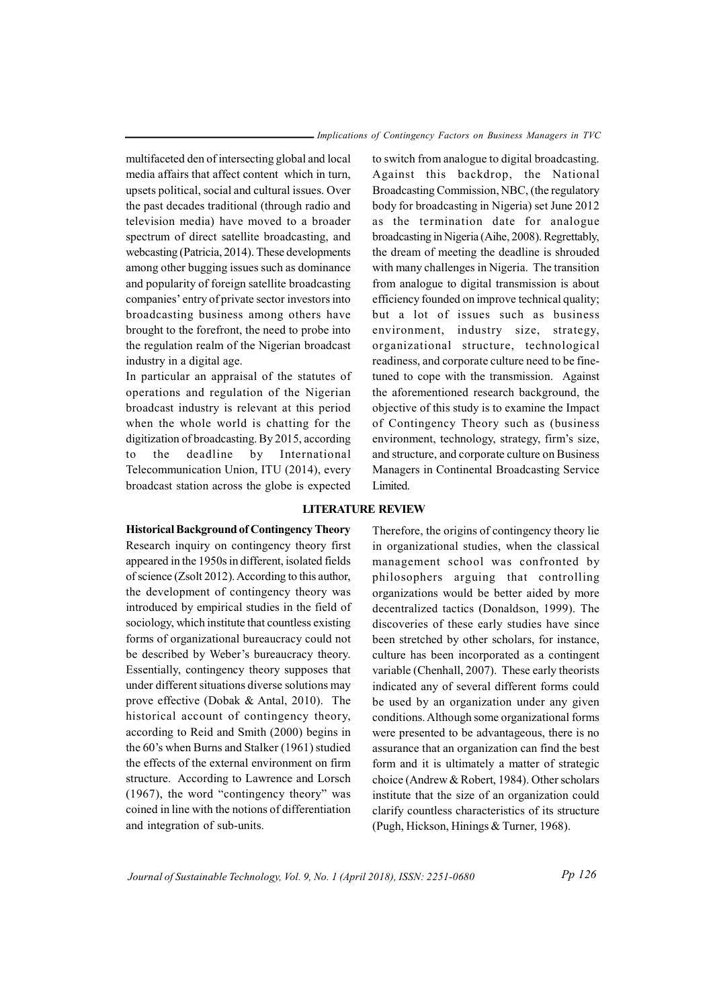multifaceted den of intersecting global and local media affairs that affect content which in turn, upsets political, social and cultural issues. Over the past decades traditional (through radio and television media) have moved to a broader spectrum of direct satellite broadcasting, and webcasting (Patricia, 2014). These developments among other bugging issues such as dominance and popularity of foreign satellite broadcasting companies' entry of private sector investors into broadcasting business among others have brought to the forefront, the need to probe into the regulation realm of the Nigerian broadcast industry in a digital age.

In particular an appraisal of the statutes of operations and regulation of the Nigerian broadcast industry is relevant at this period when the whole world is chatting for the digitization of broadcasting. By 2015, according to the deadline by International Telecommunication Union, ITU (2014), every broadcast station across the globe is expected

to switch from analogue to digital broadcasting. Against this backdrop, the National Broadcasting Commission, NBC, (the regulatory body for broadcasting in Nigeria) set June 2012 as the termination date for analogue broadcasting in Nigeria (Aihe, 2008). Regrettably, the dream of meeting the deadline is shrouded with many challenges in Nigeria. The transition from analogue to digital transmission is about efficiency founded on improve technical quality; but a lot of issues such as business environment, industry size, strategy, organizational structure, technological readiness, and corporate culture need to be finetuned to cope with the transmission. Against the aforementioned research background, the objective of this study is to examine the Impact of Contingency Theory such as (business environment, technology, strategy, firm's size, and structure, and corporate culture on Business Managers in Continental Broadcasting Service Limited.

#### LITERATURE REVIEW

Historical Background of Contingency Theory Research inquiry on contingency theory first appeared in the 1950s in different, isolated fields of science (Zsolt 2012). According to this author, the development of contingency theory was introduced by empirical studies in the field of sociology, which institute that countless existing forms of organizational bureaucracy could not be described by Weber's bureaucracy theory. Essentially, contingency theory supposes that under different situations diverse solutions may prove effective (Dobak & Antal, 2010). The historical account of contingency theory,

# according to Reid and Smith (2000) begins in the 60's when Burns and Stalker (1961) studied the effects of the external environment on firm structure. According to Lawrence and Lorsch (1967), the word "contingency theory" was coined in line with the notions of differentiation and integration of sub-units.

Therefore, the origins of contingency theory lie in organizational studies, when the classical management school was confronted by philosophers arguing that controlling organizations would be better aided by more decentralized tactics (Donaldson, 1999). The discoveries of these early studies have since been stretched by other scholars, for instance, culture has been incorporated as a contingent variable (Chenhall, 2007). These early theorists indicated any of several different forms could be used by an organization under any given conditions. Although some organizational forms were presented to be advantageous, there is no assurance that an organization can find the best form and it is ultimately a matter of strategic choice (Andrew & Robert, 1984). Other scholars institute that the size of an organization could clarify countless characteristics of its structure (Pugh, Hickson, Hinings & Turner, 1968).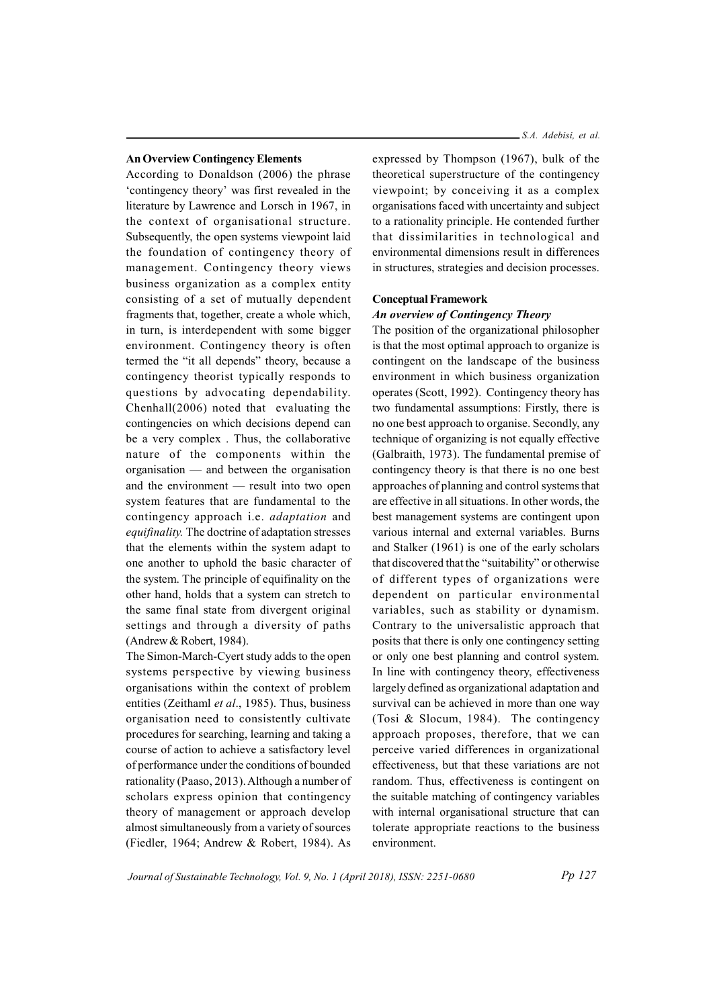#### An Overview Contingency Elements

According to Donaldson (2006) the phrase 'contingency theory' was first revealed in the literature by Lawrence and Lorsch in 1967, in the context of organisational structure. Subsequently, the open systems viewpoint laid the foundation of contingency theory of management. Contingency theory views business organization as a complex entity consisting of a set of mutually dependent fragments that, together, create a whole which, in turn, is interdependent with some bigger environment. Contingency theory is often termed the "it all depends" theory, because a contingency theorist typically responds to questions by advocating dependability. Chenhall(2006) noted that evaluating the contingencies on which decisions depend can be a very complex . Thus, the collaborative nature of the components within the organisation — and between the organisation and the environment — result into two open system features that are fundamental to the contingency approach i.e. adaptation and equifinality. The doctrine of adaptation stresses that the elements within the system adapt to one another to uphold the basic character of the system. The principle of equifinality on the other hand, holds that a system can stretch to the same final state from divergent original settings and through a diversity of paths (Andrew & Robert, 1984).

The Simon-March-Cyert study adds to the open systems perspective by viewing business organisations within the context of problem entities (Zeithaml et al., 1985). Thus, business organisation need to consistently cultivate procedures for searching, learning and taking a course of action to achieve a satisfactory level of performance under the conditions of bounded rationality (Paaso, 2013). Although a number of scholars express opinion that contingency theory of management or approach develop almost simultaneously from a variety of sources (Fiedler, 1964; Andrew & Robert, 1984). As

expressed by Thompson (1967), bulk of the theoretical superstructure of the contingency viewpoint; by conceiving it as a complex organisations faced with uncertainty and subject to a rationality principle. He contended further that dissimilarities in technological and environmental dimensions result in differences in structures, strategies and decision processes.

#### Conceptual Framework

#### An overview of Contingency Theory

The position of the organizational philosopher is that the most optimal approach to organize is contingent on the landscape of the business environment in which business organization operates (Scott, 1992). Contingency theory has two fundamental assumptions: Firstly, there is no one best approach to organise. Secondly, any technique of organizing is not equally effective (Galbraith, 1973). The fundamental premise of contingency theory is that there is no one best approaches of planning and control systems that are effective in all situations. In other words, the best management systems are contingent upon various internal and external variables. Burns and Stalker (1961) is one of the early scholars that discovered that the "suitability" or otherwise of different types of organizations were dependent on particular environmental variables, such as stability or dynamism. Contrary to the universalistic approach that posits that there is only one contingency setting or only one best planning and control system. In line with contingency theory, effectiveness largely defined as organizational adaptation and survival can be achieved in more than one way (Tosi & Slocum, 1984). The contingency approach proposes, therefore, that we can perceive varied differences in organizational effectiveness, but that these variations are not random. Thus, effectiveness is contingent on the suitable matching of contingency variables with internal organisational structure that can tolerate appropriate reactions to the business environment.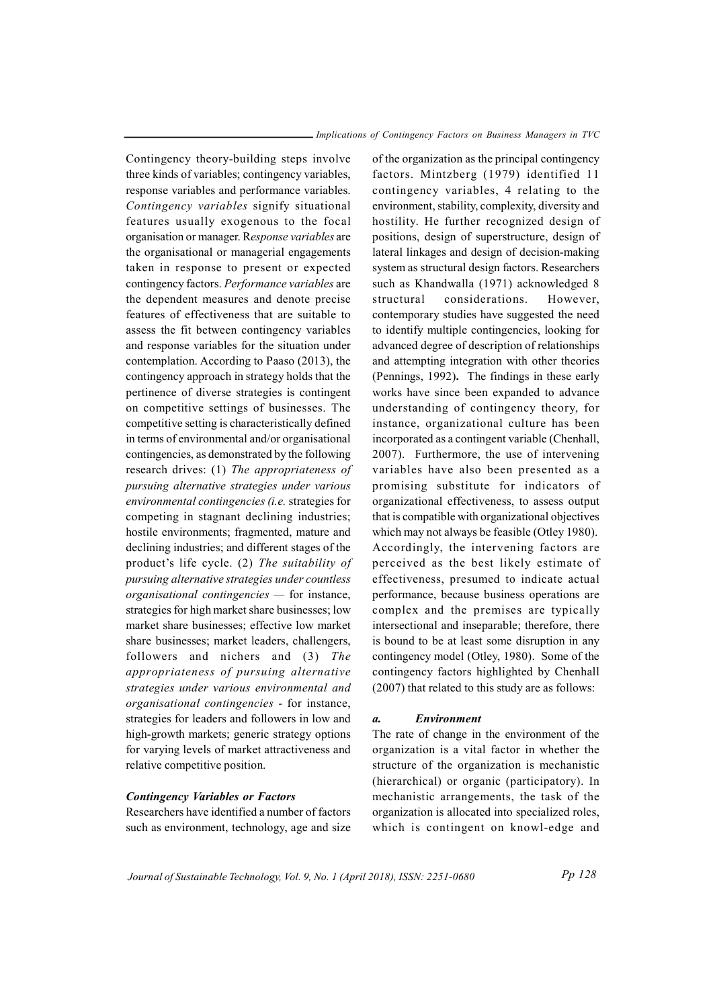Contingency theory-building steps involve three kinds of variables; contingency variables, response variables and performance variables. Contingency variables signify situational features usually exogenous to the focal organisation or manager. Response variables are the organisational or managerial engagements taken in response to present or expected contingency factors. Performance variables are the dependent measures and denote precise features of effectiveness that are suitable to assess the fit between contingency variables and response variables for the situation under contemplation. According to Paaso (2013), the contingency approach in strategy holds that the pertinence of diverse strategies is contingent on competitive settings of businesses. The competitive setting is characteristically defined in terms of environmental and/or organisational contingencies, as demonstrated by the following research drives: (1) The appropriateness of pursuing alternative strategies under various environmental contingencies (i.e. strategies for competing in stagnant declining industries; hostile environments; fragmented, mature and declining industries; and different stages of the product's life cycle. (2) The suitability of pursuing alternative strategies under countless  $organisational$  contingencies  $-$  for instance, strategies for high market share businesses; low market share businesses; effective low market share businesses; market leaders, challengers, followers and nichers and (3) The appropriateness of pursuing alternative strategies under various environmental and organisational contingencies - for instance, strategies for leaders and followers in low and high-growth markets; generic strategy options for varying levels of market attractiveness and relative competitive position.

#### Contingency Variables or Factors

Researchers have identified a number of factors such as environment, technology, age and size

of the organization as the principal contingency factors. Mintzberg (1979) identified 11 contingency variables, 4 relating to the environment, stability, complexity, diversity and hostility. He further recognized design of positions, design of superstructure, design of lateral linkages and design of decision-making system as structural design factors. Researchers such as Khandwalla (1971) acknowledged 8 structural considerations. However, contemporary studies have suggested the need to identify multiple contingencies, looking for advanced degree of description of relationships and attempting integration with other theories (Pennings, 1992). The findings in these early works have since been expanded to advance understanding of contingency theory, for instance, organizational culture has been incorporated as a contingent variable (Chenhall, 2007). Furthermore, the use of intervening variables have also been presented as a promising substitute for indicators of organizational effectiveness, to assess output that is compatible with organizational objectives which may not always be feasible (Otley 1980). Accordingly, the intervening factors are perceived as the best likely estimate of effectiveness, presumed to indicate actual performance, because business operations are complex and the premises are typically intersectional and inseparable; therefore, there is bound to be at least some disruption in any contingency model (Otley, 1980). Some of the contingency factors highlighted by Chenhall (2007) that related to this study are as follows:

#### a. Environment

The rate of change in the environment of the organization is a vital factor in whether the structure of the organization is mechanistic (hierarchical) or organic (participatory). In mechanistic arrangements, the task of the organization is allocated into specialized roles, which is contingent on knowl-edge and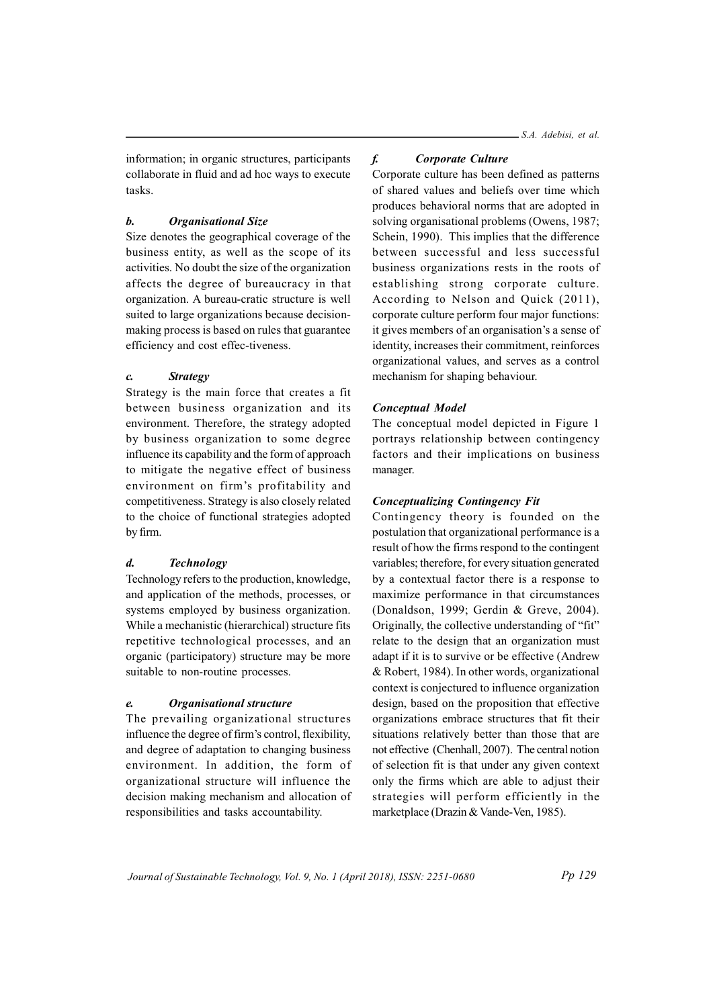information; in organic structures, participants collaborate in fluid and ad hoc ways to execute tasks.

# b. Organisational Size

Size denotes the geographical coverage of the business entity, as well as the scope of its activities. No doubt the size of the organization affects the degree of bureaucracy in that organization. A bureau-cratic structure is well suited to large organizations because decisionmaking process is based on rules that guarantee efficiency and cost effec-tiveness.

# c. Strategy

Strategy is the main force that creates a fit between business organization and its environment. Therefore, the strategy adopted by business organization to some degree influence its capability and the form of approach to mitigate the negative effect of business environment on firm's profitability and competitiveness. Strategy is also closely related to the choice of functional strategies adopted by firm.

# d. Technology

Technology refers to the production, knowledge, and application of the methods, processes, or systems employed by business organization. While a mechanistic (hierarchical) structure fits repetitive technological processes, and an organic (participatory) structure may be more suitable to non-routine processes.

# e. Organisational structure

The prevailing organizational structures influence the degree of firm's control, flexibility, and degree of adaptation to changing business environment. In addition, the form of organizational structure will influence the decision making mechanism and allocation of responsibilities and tasks accountability.

# f. Corporate Culture

Corporate culture has been defined as patterns of shared values and beliefs over time which produces behavioral norms that are adopted in solving organisational problems (Owens, 1987; Schein, 1990). This implies that the difference between successful and less successful business organizations rests in the roots of establishing strong corporate culture. According to Nelson and Quick (2011), corporate culture perform four major functions: it gives members of an organisation's a sense of identity, increases their commitment, reinforces organizational values, and serves as a control mechanism for shaping behaviour.

# Conceptual Model

The conceptual model depicted in Figure 1 portrays relationship between contingency factors and their implications on business manager.

# Conceptualizing Contingency Fit

Contingency theory is founded on the postulation that organizational performance is a result of how the firms respond to the contingent variables; therefore, for every situation generated by a contextual factor there is a response to maximize performance in that circumstances (Donaldson, 1999; Gerdin & Greve, 2004). Originally, the collective understanding of "fit" relate to the design that an organization must adapt if it is to survive or be effective (Andrew & Robert, 1984). In other words, organizational context is conjectured to influence organization design, based on the proposition that effective organizations embrace structures that fit their situations relatively better than those that are not effective (Chenhall, 2007). The central notion of selection fit is that under any given context only the firms which are able to adjust their strategies will perform efficiently in the marketplace (Drazin & Vande-Ven, 1985).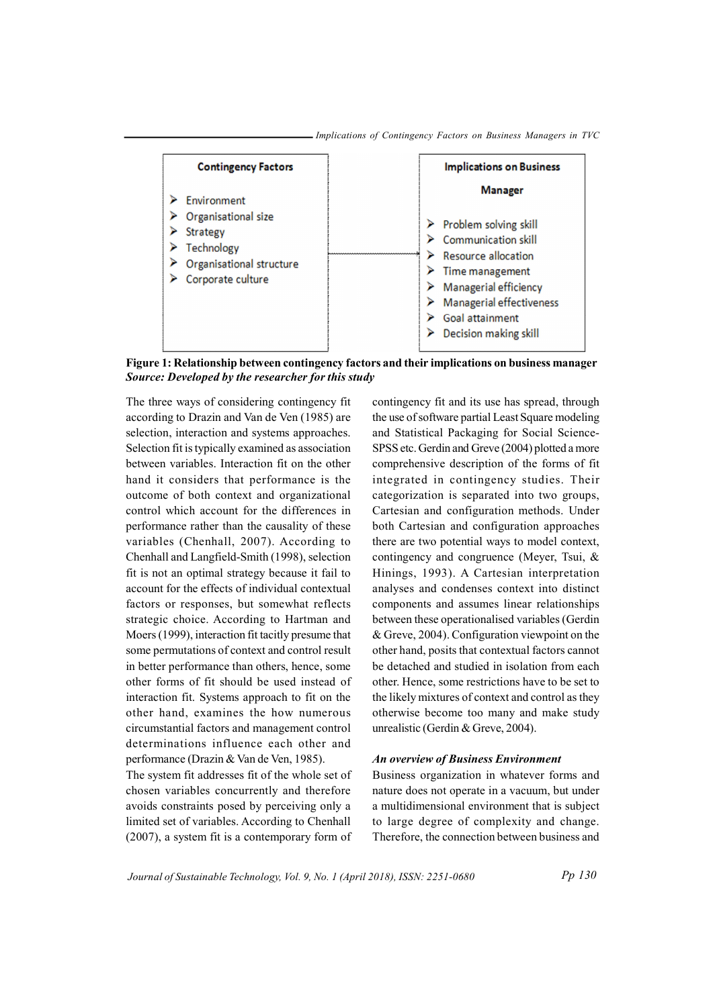

Implications of Contingency Factors on Business Managers in TVC

Figure 1: Relationship between contingency factors and their implications on business manager Source: Developed by the researcher for this study

The three ways of considering contingency fit according to Drazin and Van de Ven (1985) are selection, interaction and systems approaches. Selection fit is typically examined as association between variables. Interaction fit on the other hand it considers that performance is the outcome of both context and organizational control which account for the differences in performance rather than the causality of these variables (Chenhall, 2007). According to Chenhall and Langfield-Smith (1998), selection fit is not an optimal strategy because it fail to account for the effects of individual contextual factors or responses, but somewhat reflects strategic choice. According to Hartman and Moers (1999), interaction fit tacitly presume that some permutations of context and control result in better performance than others, hence, some other forms of fit should be used instead of interaction fit. Systems approach to fit on the other hand, examines the how numerous circumstantial factors and management control determinations influence each other and performance (Drazin & Van de Ven, 1985).

The system fit addresses fit of the whole set of chosen variables concurrently and therefore avoids constraints posed by perceiving only a limited set of variables. According to Chenhall (2007), a system fit is a contemporary form of

contingency fit and its use has spread, through the use of software partial Least Square modeling and Statistical Packaging for Social Science-SPSS etc. Gerdin and Greve (2004) plotted a more comprehensive description of the forms of fit integrated in contingency studies. Their categorization is separated into two groups, Cartesian and configuration methods. Under both Cartesian and configuration approaches there are two potential ways to model context, contingency and congruence (Meyer, Tsui, & Hinings, 1993). A Cartesian interpretation analyses and condenses context into distinct components and assumes linear relationships between these operationalised variables (Gerdin & Greve, 2004). Configuration viewpoint on the other hand, posits that contextual factors cannot be detached and studied in isolation from each other. Hence, some restrictions have to be set to the likely mixtures of context and control as they otherwise become too many and make study unrealistic (Gerdin & Greve, 2004).

#### An overview of Business Environment

Business organization in whatever forms and nature does not operate in a vacuum, but under a multidimensional environment that is subject to large degree of complexity and change. Therefore, the connection between business and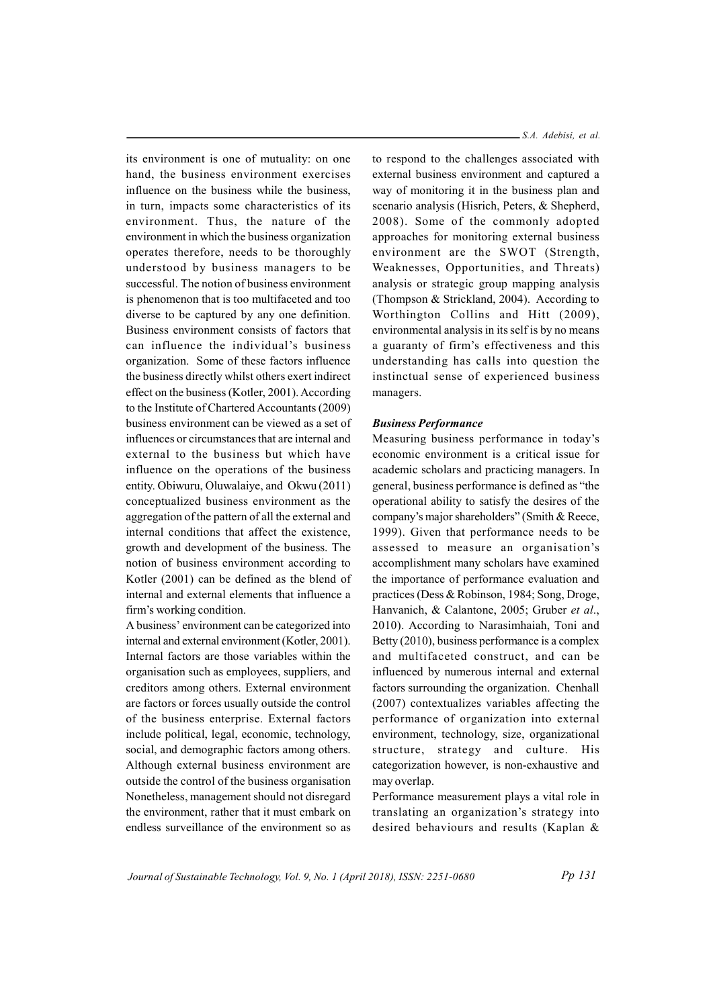its environment is one of mutuality: on one hand, the business environment exercises influence on the business while the business, in turn, impacts some characteristics of its environment. Thus, the nature of the environment in which the business organization operates therefore, needs to be thoroughly understood by business managers to be successful. The notion of business environment is phenomenon that is too multifaceted and too diverse to be captured by any one definition. Business environment consists of factors that can influence the individual's business organization. Some of these factors influence the business directly whilst others exert indirect effect on the business (Kotler, 2001). According to the Institute of Chartered Accountants (2009) business environment can be viewed as a set of influences or circumstances that are internal and external to the business but which have influence on the operations of the business entity. Obiwuru, Oluwalaiye, and Okwu (2011) conceptualized business environment as the aggregation of the pattern of all the external and internal conditions that affect the existence, growth and development of the business. The notion of business environment according to Kotler (2001) can be defined as the blend of internal and external elements that influence a firm's working condition.

A business' environment can be categorized into internal and external environment (Kotler, 2001). Internal factors are those variables within the organisation such as employees, suppliers, and creditors among others. External environment are factors or forces usually outside the control of the business enterprise. External factors include political, legal, economic, technology, social, and demographic factors among others. Although external business environment are outside the control of the business organisation Nonetheless, management should not disregard the environment, rather that it must embark on endless surveillance of the environment so as S.A. Adebisi, et al.

to respond to the challenges associated with external business environment and captured a way of monitoring it in the business plan and scenario analysis (Hisrich, Peters, & Shepherd, 2008). Some of the commonly adopted approaches for monitoring external business environment are the SWOT (Strength, Weaknesses, Opportunities, and Threats) analysis or strategic group mapping analysis (Thompson & Strickland, 2004). According to Worthington Collins and Hitt (2009), environmental analysis in its self is by no means a guaranty of firm's effectiveness and this understanding has calls into question the instinctual sense of experienced business managers.

## Business Performance

Measuring business performance in today's economic environment is a critical issue for academic scholars and practicing managers. In general, business performance is defined as "the operational ability to satisfy the desires of the company's major shareholders" (Smith & Reece, 1999). Given that performance needs to be assessed to measure an organisation's accomplishment many scholars have examined the importance of performance evaluation and practices (Dess & Robinson, 1984; Song, Droge, Hanvanich, & Calantone, 2005; Gruber et al., 2010). According to Narasimhaiah, Toni and Betty (2010), business performance is a complex and multifaceted construct, and can be influenced by numerous internal and external factors surrounding the organization. Chenhall (2007) contextualizes variables affecting the performance of organization into external environment, technology, size, organizational structure, strategy and culture. His categorization however, is non-exhaustive and may overlap.

Performance measurement plays a vital role in translating an organization's strategy into desired behaviours and results (Kaplan &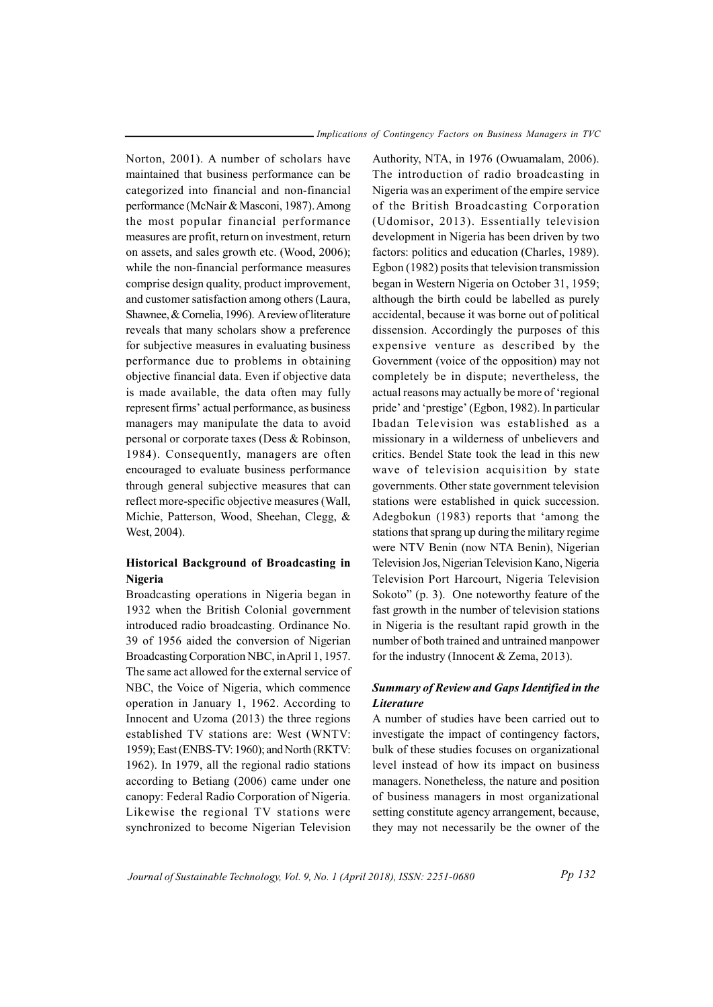Norton, 2001). A number of scholars have maintained that business performance can be categorized into financial and non-financial performance (McNair & Masconi, 1987). Among the most popular financial performance measures are profit, return on investment, return on assets, and sales growth etc. (Wood, 2006); while the non-financial performance measures comprise design quality, product improvement, and customer satisfaction among others (Laura, Shawnee, & Cornelia, 1996). A review of literature reveals that many scholars show a preference for subjective measures in evaluating business performance due to problems in obtaining objective financial data. Even if objective data is made available, the data often may fully represent firms' actual performance, as business managers may manipulate the data to avoid personal or corporate taxes (Dess & Robinson, 1984). Consequently, managers are often encouraged to evaluate business performance through general subjective measures that can reflect more-specific objective measures (Wall, Michie, Patterson, Wood, Sheehan, Clegg, & West, 2004).

# Historical Background of Broadcasting in Nigeria

Broadcasting operations in Nigeria began in 1932 when the British Colonial government introduced radio broadcasting. Ordinance No. 39 of 1956 aided the conversion of Nigerian Broadcasting Corporation NBC, in April 1, 1957. The same act allowed for the external service of NBC, the Voice of Nigeria, which commence operation in January 1, 1962. According to Innocent and Uzoma (2013) the three regions established TV stations are: West (WNTV: 1959); East (ENBS-TV: 1960); and North (RKTV: 1962). In 1979, all the regional radio stations according to Betiang (2006) came under one canopy: Federal Radio Corporation of Nigeria. Likewise the regional TV stations were synchronized to become Nigerian Television

Authority, NTA, in 1976 (Owuamalam, 2006). The introduction of radio broadcasting in Nigeria was an experiment of the empire service of the British Broadcasting Corporation (Udomisor, 2013). Essentially television development in Nigeria has been driven by two factors: politics and education (Charles, 1989). Egbon (1982) posits that television transmission began in Western Nigeria on October 31, 1959; although the birth could be labelled as purely accidental, because it was borne out of political dissension. Accordingly the purposes of this expensive venture as described by the Government (voice of the opposition) may not completely be in dispute; nevertheless, the actual reasons may actually be more of 'regional pride' and 'prestige' (Egbon, 1982). In particular Ibadan Television was established as a missionary in a wilderness of unbelievers and critics. Bendel State took the lead in this new wave of television acquisition by state governments. Other state government television stations were established in quick succession. Adegbokun (1983) reports that 'among the stations that sprang up during the military regime were NTV Benin (now NTA Benin), Nigerian Television Jos, Nigerian Television Kano, Nigeria Television Port Harcourt, Nigeria Television Sokoto" (p. 3). One noteworthy feature of the fast growth in the number of television stations in Nigeria is the resultant rapid growth in the number of both trained and untrained manpower for the industry (Innocent & Zema, 2013).

# Summary of Review and Gaps Identified in the Literature

A number of studies have been carried out to investigate the impact of contingency factors, bulk of these studies focuses on organizational level instead of how its impact on business managers. Nonetheless, the nature and position of business managers in most organizational setting constitute agency arrangement, because, they may not necessarily be the owner of the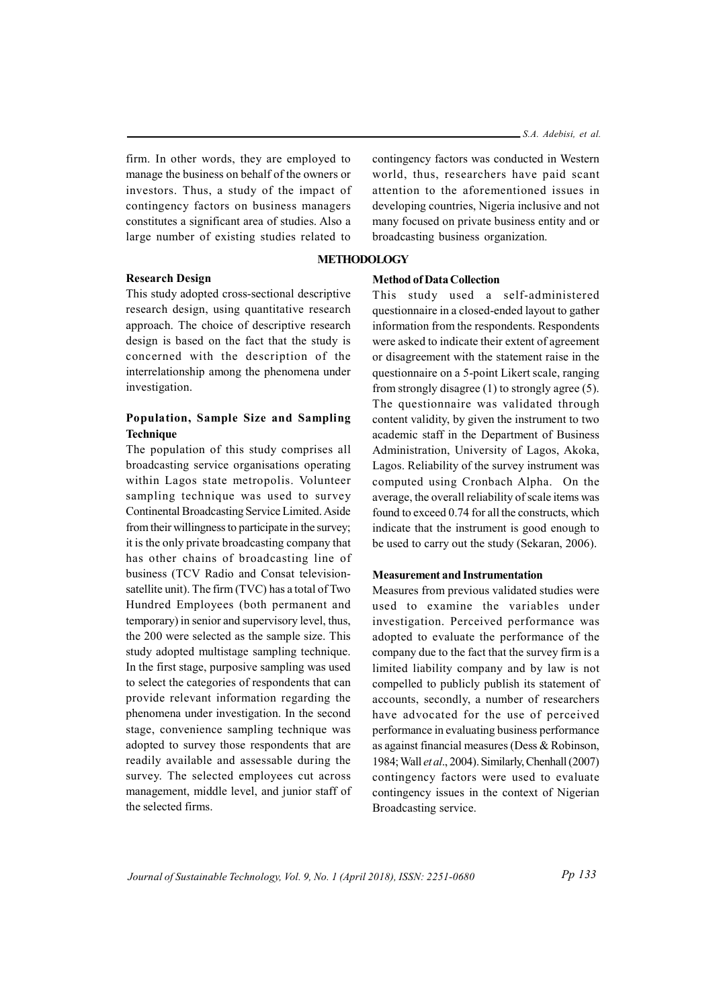firm. In other words, they are employed to manage the business on behalf of the owners or investors. Thus, a study of the impact of contingency factors on business managers constitutes a significant area of studies. Also a large number of existing studies related to

#### **METHODOLOGY**

### Research Design

This study adopted cross-sectional descriptive research design, using quantitative research approach. The choice of descriptive research design is based on the fact that the study is concerned with the description of the interrelationship among the phenomena under investigation.

# Population, Sample Size and Sampling **Technique**

The population of this study comprises all broadcasting service organisations operating within Lagos state metropolis. Volunteer sampling technique was used to survey Continental Broadcasting Service Limited. Aside from their willingness to participate in the survey; it is the only private broadcasting company that has other chains of broadcasting line of business (TCV Radio and Consat televisionsatellite unit). The firm (TVC) has a total of Two Hundred Employees (both permanent and temporary) in senior and supervisory level, thus, the 200 were selected as the sample size. This study adopted multistage sampling technique. In the first stage, purposive sampling was used to select the categories of respondents that can provide relevant information regarding the phenomena under investigation. In the second stage, convenience sampling technique was adopted to survey those respondents that are readily available and assessable during the survey. The selected employees cut across management, middle level, and junior staff of the selected firms.

contingency factors was conducted in Western world, thus, researchers have paid scant attention to the aforementioned issues in developing countries, Nigeria inclusive and not many focused on private business entity and or broadcasting business organization.

## Method of Data Collection

This study used a self-administered questionnaire in a closed-ended layout to gather information from the respondents. Respondents were asked to indicate their extent of agreement or disagreement with the statement raise in the questionnaire on a 5-point Likert scale, ranging from strongly disagree (1) to strongly agree (5). The questionnaire was validated through content validity, by given the instrument to two academic staff in the Department of Business Administration, University of Lagos, Akoka, Lagos. Reliability of the survey instrument was computed using Cronbach Alpha. On the average, the overall reliability of scale items was found to exceed 0.74 for all the constructs, which indicate that the instrument is good enough to be used to carry out the study (Sekaran, 2006).

# Measurement and Instrumentation

Measures from previous validated studies were used to examine the variables under investigation. Perceived performance was adopted to evaluate the performance of the company due to the fact that the survey firm is a limited liability company and by law is not compelled to publicly publish its statement of accounts, secondly, a number of researchers have advocated for the use of perceived performance in evaluating business performance as against financial measures (Dess & Robinson, 1984; Wall et al., 2004). Similarly, Chenhall (2007) contingency factors were used to evaluate contingency issues in the context of Nigerian Broadcasting service.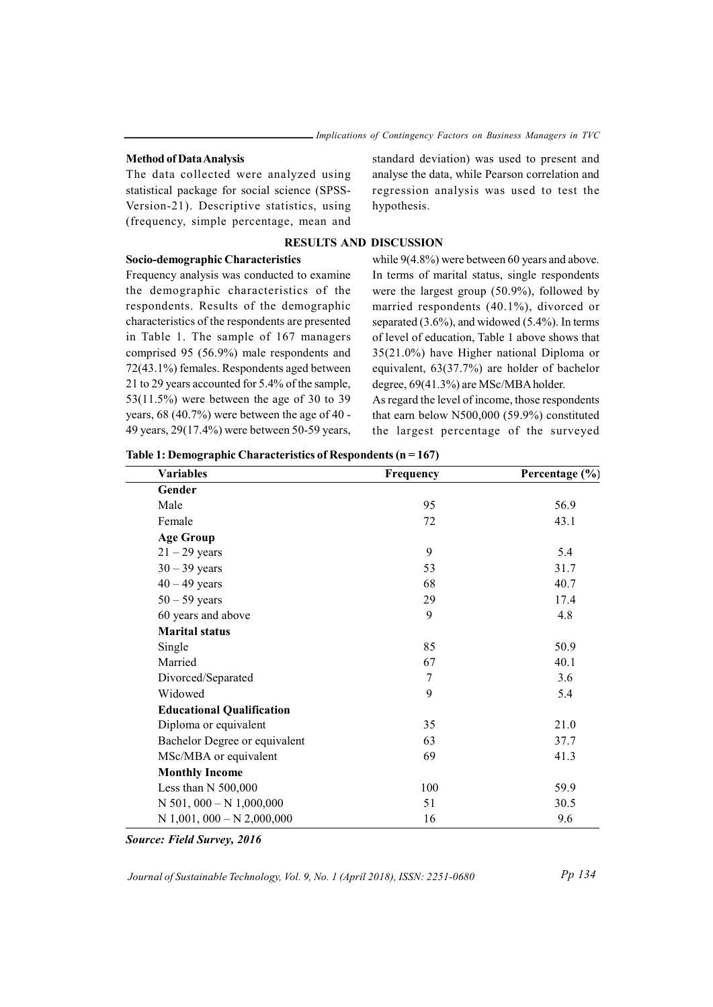#### Method of Data Analysis

The data collected were analyzed using statistical package for social science (SPSS-Version-21). Descriptive statistics, using (frequency, simple percentage, mean and standard deviation) was used to present and analyse the data, while Pearson correlation and regression analysis was used to test the hypothesis.

# RESULTS AND DISCUSSION

## Socio-demographic Characteristics

Frequency analysis was conducted to examine the demographic characteristics of the respondents. Results of the demographic characteristics of the respondents are presented in Table 1. The sample of 167 managers comprised 95 (56.9%) male respondents and 72(43.1%) females. Respondents aged between 21 to 29 years accounted for 5.4% of the sample, 53(11.5%) were between the age of 30 to 39 years, 68 (40.7%) were between the age of 40 - 49 years, 29(17.4%) were between 50-59 years,

while 9(4.8%) were between 60 years and above. In terms of marital status, single respondents were the largest group (50.9%), followed by married respondents (40.1%), divorced or separated (3.6%), and widowed (5.4%). In terms of level of education, Table 1 above shows that 35(21.0%) have Higher national Diploma or equivalent, 63(37.7%) are holder of bachelor degree, 69(41.3%) are MSc/MBA holder.

As regard the level of income, those respondents that earn below N500,000 (59.9%) constituted the largest percentage of the surveyed

| Table 1: Demographic Characteristics of Respondents ( $n = 167$ ) |  |
|-------------------------------------------------------------------|--|
|-------------------------------------------------------------------|--|

| <b>Variables</b>                 | Frequency | Percentage (%) |
|----------------------------------|-----------|----------------|
| Gender                           |           |                |
| Male                             | 95        | 56.9           |
| Female                           | 72        | 43.1           |
| <b>Age Group</b>                 |           |                |
| $21 - 29$ years                  | 9         | 5.4            |
| $30 - 39$ years                  | 53        | 31.7           |
| $40 - 49$ years                  | 68        | 40.7           |
| $50 - 59$ years                  | 29        | 17.4           |
| 60 years and above               | 9         | 4.8            |
| <b>Marital status</b>            |           |                |
| Single                           | 85        | 50.9           |
| Married                          | 67        | 40.1           |
| Divorced/Separated               | 7         | 3.6            |
| Widowed                          | 9         | 5.4            |
| <b>Educational Qualification</b> |           |                |
| Diploma or equivalent            | 35        | 21.0           |
| Bachelor Degree or equivalent    | 63        | 37.7           |
| MSc/MBA or equivalent            | 69        | 41.3           |
| <b>Monthly Income</b>            |           |                |
| Less than N 500,000              | 100       | 59.9           |
| $N$ 501, 000 – $N$ 1,000,000     | 51        | 30.5           |
| $N$ 1,001, 000 – N 2,000,000     | 16        | 9.6            |

Source: Field Survey, 2016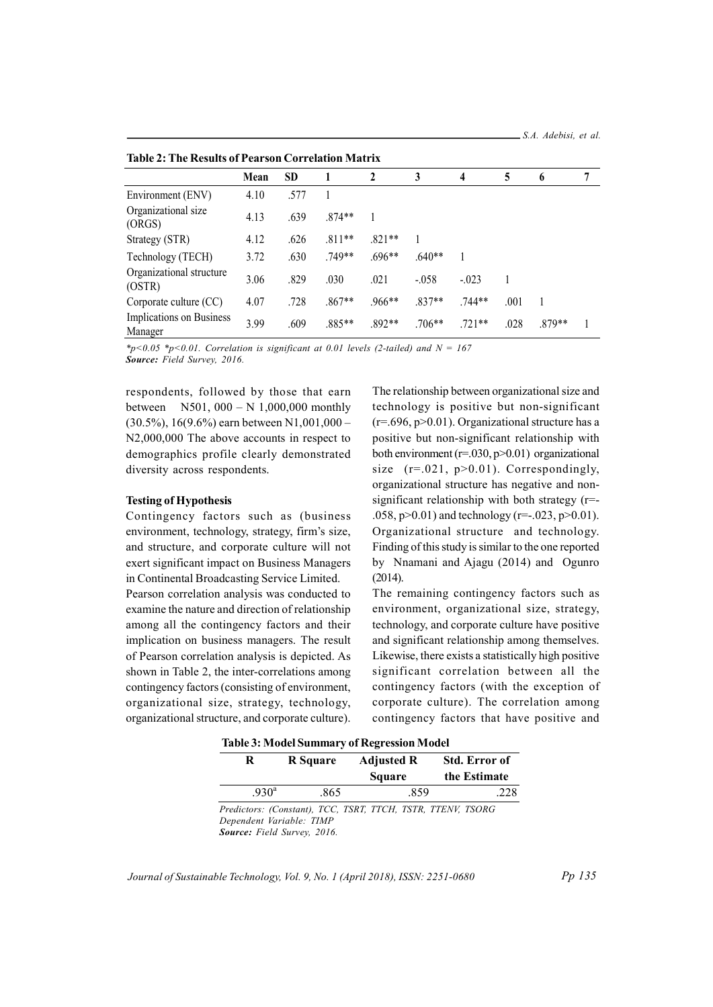| Table 2. The Incounts of Fearson Correlation Matrix |      |           |          |              |          |          |      |        |   |
|-----------------------------------------------------|------|-----------|----------|--------------|----------|----------|------|--------|---|
|                                                     | Mean | <b>SD</b> |          | $\mathbf{2}$ | 3        | 4        | 5    | 6      | 7 |
| Environment (ENV)                                   | 4.10 | .577      |          |              |          |          |      |        |   |
| Organizational size<br>(ORGS)                       | 4.13 | .639      | $.874**$ |              |          |          |      |        |   |
| Strategy (STR)                                      | 4.12 | .626      | $.811**$ | $.821**$     |          |          |      |        |   |
| Technology (TECH)                                   | 3.72 | .630      | .749**   | $.696**$     | $.640**$ |          |      |        |   |
| Organizational structure<br>(OSTR)                  | 3.06 | .829      | .030     | .021         | $-0.058$ | $-.023$  |      |        |   |
| Corporate culture (CC)                              | 4.07 | .728      | $.867**$ | $.966**$     | $.837**$ | $.744**$ | .001 |        |   |
| Implications on Business<br>Manager                 | 3.99 | .609      | $.885**$ | $.892**$     | $.706**$ | $.721**$ | .028 | .879** |   |

|  |  |  |  | <b>Table 2: The Results of Pearson Correlation Matrix</b> |
|--|--|--|--|-----------------------------------------------------------|
|--|--|--|--|-----------------------------------------------------------|

 $*p<0.05$   $*p<0.01$ . Correlation is significant at 0.01 levels (2-tailed) and  $N = 167$ Source: Field Survey, 2016.

respondents, followed by those that earn between N501, 000 – N 1,000,000 monthly  $(30.5\%)$ , 16(9.6%) earn between N1,001,000 – N2,000,000 The above accounts in respect to demographics profile clearly demonstrated diversity across respondents.

#### Testing of Hypothesis

Contingency factors such as (business environment, technology, strategy, firm's size, and structure, and corporate culture will not exert significant impact on Business Managers in Continental Broadcasting Service Limited.

Pearson correlation analysis was conducted to examine the nature and direction of relationship among all the contingency factors and their implication on business managers. The result of Pearson correlation analysis is depicted. As shown in Table 2, the inter-correlations among contingency factors (consisting of environment, organizational size, strategy, technology, organizational structure, and corporate culture).

The relationship between organizational size and technology is positive but non-significant  $(r=.696, p>0.01)$ . Organizational structure has a positive but non-significant relationship with both environment  $(r=.030, p>0.01)$  organizational size  $(r=.021, p>0.01)$ . Correspondingly, organizational structure has negative and nonsignificant relationship with both strategy  $(r=$ .058,  $p > 0.01$ ) and technology (r=-.023,  $p > 0.01$ ). Organizational structure and technology. Finding of this study is similar to the one reported by Nnamani and Ajagu (2014) and Ogunro (2014).

The remaining contingency factors such as environment, organizational size, strategy, technology, and corporate culture have positive and significant relationship among themselves. Likewise, there exists a statistically high positive significant correlation between all the contingency factors (with the exception of corporate culture). The correlation among contingency factors that have positive and

|--|

| R                | R Square | Adjusted R<br><b>Square</b> | Std. Error of<br>the Estimate |
|------------------|----------|-----------------------------|-------------------------------|
| $.930^{\rm a}$   | .865     | .859                        | .228                          |
| n 1. . <i>In</i> |          |                             |                               |

Predictors: (Constant), TCC, TSRT, TTCH, TSTR, TTENV, TSORG Dependent Variable: TIMP Source: Field Survey, 2016.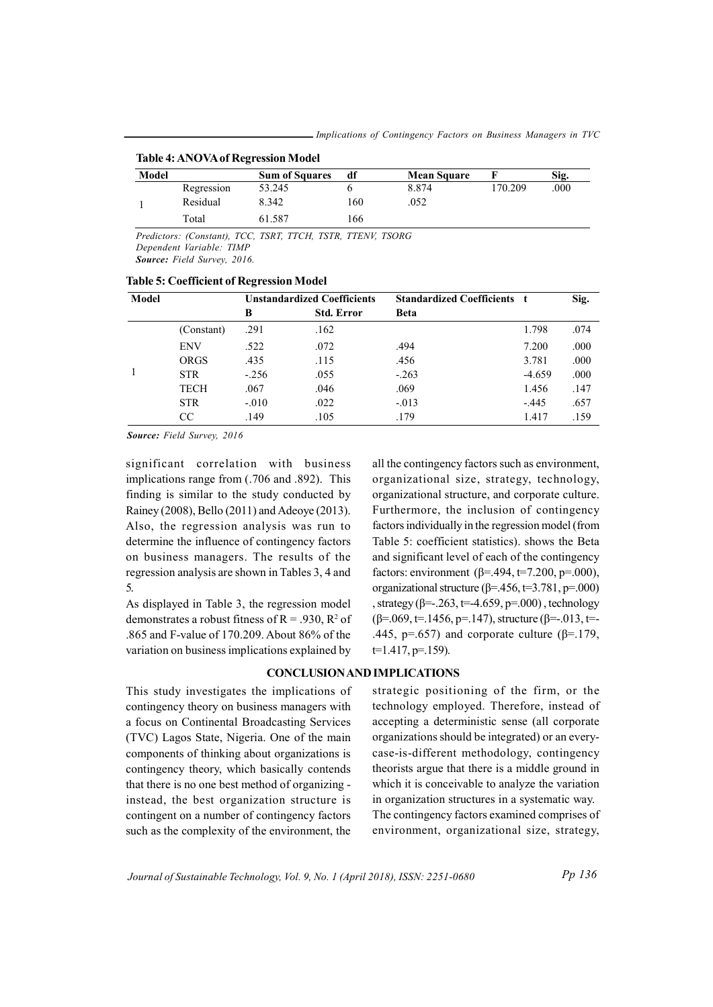| <b>Table 4: ANOVA of Regression Model</b> |            |                       |     |                    |         |      |  |  |  |
|-------------------------------------------|------------|-----------------------|-----|--------------------|---------|------|--|--|--|
| Model                                     |            | <b>Sum of Squares</b> | df  | <b>Mean Square</b> |         | Sig. |  |  |  |
|                                           | Regression | 53.245                |     | 8.874              | 170.209 | .000 |  |  |  |
|                                           | Residual   | 8.342                 | 160 | .052               |         |      |  |  |  |
|                                           | Total      | 61.587                | 166 |                    |         |      |  |  |  |

Predictors: (Constant), TCC, TSRT, TTCH, TSTR, TTENV, TSORG Dependent Variable: TIMP Source: Field Survey, 2016.

| Model |             | <b>Unstandardized Coefficients</b> |                   | <b>Standardized Coefficients t</b> |          | Sig. |
|-------|-------------|------------------------------------|-------------------|------------------------------------|----------|------|
|       |             | B                                  | <b>Std. Error</b> | <b>Beta</b>                        |          |      |
|       | (Constant)  | .291                               | .162              |                                    | 1.798    | .074 |
|       | <b>ENV</b>  | .522                               | .072              | .494                               | 7.200    | .000 |
|       | <b>ORGS</b> | .435                               | .115              | .456                               | 3.781    | .000 |
|       | <b>STR</b>  | $-.256$                            | .055              | $-.263$                            | $-4.659$ | .000 |
|       | <b>TECH</b> | .067                               | .046              | .069                               | 1.456    | .147 |
|       | <b>STR</b>  | $-.010$                            | .022              | $-.013$                            | $-.445$  | .657 |
|       | <b>CC</b>   | .149                               | .105              | .179                               | 1.417    | .159 |

Table 5: Coefficient of Regression Model

Source: Field Survey, 2016

significant correlation with business implications range from (.706 and .892). This finding is similar to the study conducted by Rainey (2008), Bello (2011) and Adeoye (2013). Also, the regression analysis was run to determine the influence of contingency factors on business managers. The results of the regression analysis are shown in Tables 3, 4 and 5.

As displayed in Table 3, the regression model demonstrates a robust fitness of  $R = .930$ ,  $R^2$  of .865 and F-value of 170.209. About 86% of the variation on business implications explained by

all the contingency factors such as environment, organizational size, strategy, technology, organizational structure, and corporate culture. Furthermore, the inclusion of contingency factors individually in the regression model (from Table 5: coefficient statistics). shows the Beta and significant level of each of the contingency factors: environment (β=.494, t=7.200, p=.000), organizational structure ( $\beta$ =.456, t=3.781, p=.000) , strategy ( $β = -263$ ,  $t = -4.659$ ,  $p = .000$ ), technology  $(β=.069, t=.1456, p=.147)$ , structure  $(β=.013, t=.1456)$ .445, p=.657) and corporate culture ( $β = 179$ ,  $t=1.417$ , p=.159).

#### CONCLUSION AND IMPLICATIONS

This study investigates the implications of contingency theory on business managers with a focus on Continental Broadcasting Services (TVC) Lagos State, Nigeria. One of the main components of thinking about organizations is contingency theory, which basically contends that there is no one best method of organizing instead, the best organization structure is contingent on a number of contingency factors such as the complexity of the environment, the

strategic positioning of the firm, or the technology employed. Therefore, instead of accepting a deterministic sense (all corporate organizations should be integrated) or an everycase-is-different methodology, contingency theorists argue that there is a middle ground in which it is conceivable to analyze the variation in organization structures in a systematic way. The contingency factors examined comprises of environment, organizational size, strategy,

Journal of Sustainable Technology, Vol. 9, No. 1 (April 2018), ISSN: 2251-0680

Pp 136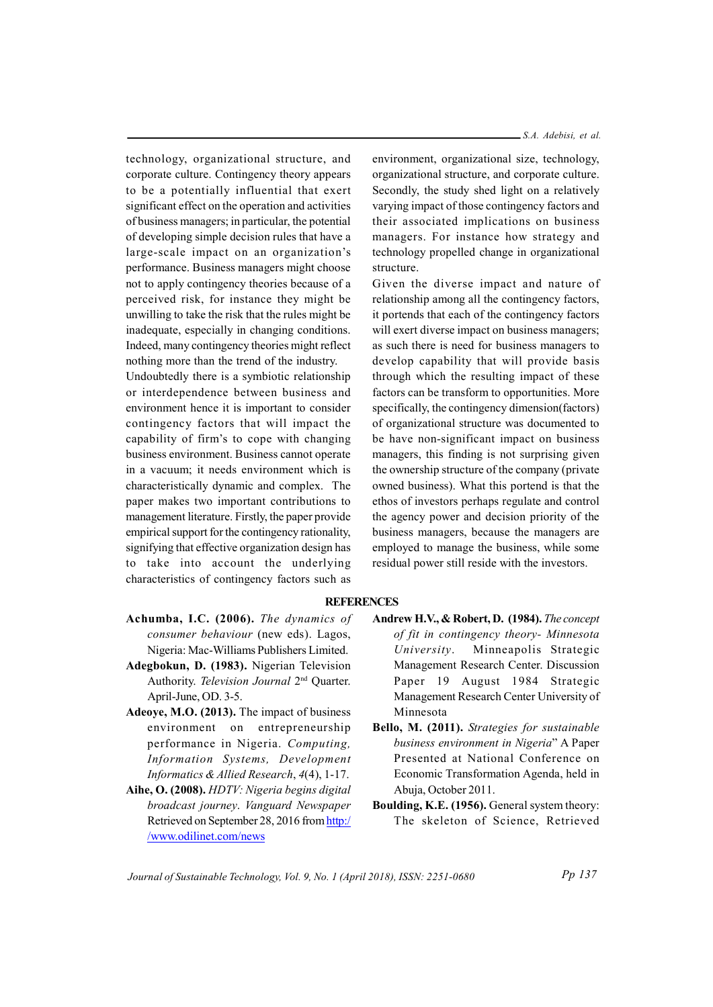S.A. Adebisi, et al.

technology, organizational structure, and corporate culture. Contingency theory appears to be a potentially influential that exert significant effect on the operation and activities of business managers; in particular, the potential of developing simple decision rules that have a large-scale impact on an organization's performance. Business managers might choose not to apply contingency theories because of a perceived risk, for instance they might be unwilling to take the risk that the rules might be inadequate, especially in changing conditions. Indeed, many contingency theories might reflect nothing more than the trend of the industry.

Undoubtedly there is a symbiotic relationship or interdependence between business and environment hence it is important to consider contingency factors that will impact the capability of firm's to cope with changing business environment. Business cannot operate in a vacuum; it needs environment which is characteristically dynamic and complex. The paper makes two important contributions to management literature. Firstly, the paper provide empirical support for the contingency rationality, signifying that effective organization design has to take into account the underlying characteristics of contingency factors such as

environment, organizational size, technology, organizational structure, and corporate culture. Secondly, the study shed light on a relatively varying impact of those contingency factors and their associated implications on business managers. For instance how strategy and technology propelled change in organizational structure.

Given the diverse impact and nature of relationship among all the contingency factors, it portends that each of the contingency factors will exert diverse impact on business managers; as such there is need for business managers to develop capability that will provide basis through which the resulting impact of these factors can be transform to opportunities. More specifically, the contingency dimension(factors) of organizational structure was documented to be have non-significant impact on business managers, this finding is not surprising given the ownership structure of the company (private owned business). What this portend is that the ethos of investors perhaps regulate and control the agency power and decision priority of the business managers, because the managers are employed to manage the business, while some residual power still reside with the investors.

#### **REFERENCES**

- Achumba, I.C. (2006). The dynamics of consumer behaviour (new eds). Lagos, Nigeria: Mac-Williams Publishers Limited.
- Adegbokun, D. (1983). Nigerian Television Authority. Television Journal 2<sup>nd</sup> Quarter. April-June, OD. 3-5.
- Adeoye, M.O. (2013). The impact of business environment on entrepreneurship performance in Nigeria. Computing, Information Systems, Development Informatics & Allied Research, 4(4), 1-17.
- Aihe, O. (2008). HDTV: Nigeria begins digital broadcast journey. Vanguard Newspaper Retrieved on September 28, 2016 from http:/ /www.odilinet.com/news
- Andrew H.V., & Robert, D. (1984). The concept of fit in contingency theory- Minnesota University. Minneapolis Strategic Management Research Center. Discussion Paper 19 August 1984 Strategic Management Research Center University of Minnesota
- Bello, M. (2011). Strategies for sustainable business environment in Nigeria" A Paper Presented at National Conference on Economic Transformation Agenda, held in Abuja, October 2011.
- Boulding, K.E. (1956). General system theory: The skeleton of Science, Retrieved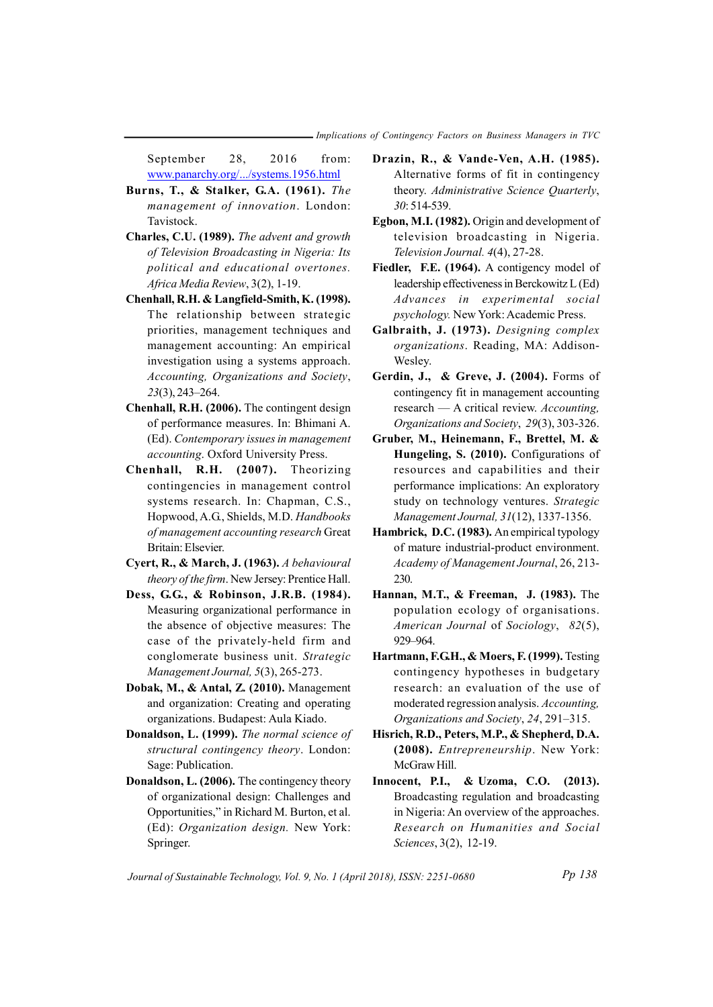September 28, 2016 from: www.panarchy.org/.../systems.1956.html

- Burns, T., & Stalker, G.A. (1961). The management of innovation. London: Tavistock.
- Charles, C.U. (1989). The advent and growth of Television Broadcasting in Nigeria: Its political and educational overtones. Africa Media Review, 3(2), 1-19.
- Chenhall, R.H. & Langfield-Smith, K. (1998). The relationship between strategic priorities, management techniques and management accounting: An empirical investigation using a systems approach. Accounting, Organizations and Society, 23(3), 243–264.
- Chenhall, R.H. (2006). The contingent design of performance measures. In: Bhimani A. (Ed). Contemporary issues in management accounting. Oxford University Press.
- Chenhall, R.H. (2007). Theorizing contingencies in management control systems research. In: Chapman, C.S., Hopwood, A.G., Shields, M.D. Handbooks of management accounting research Great Britain: Elsevier.
- Cyert, R., & March, J. (1963). A behavioural theory of the firm. New Jersey: Prentice Hall.
- Dess, G.G., & Robinson, J.R.B. (1984). Measuring organizational performance in the absence of objective measures: The case of the privately-held firm and conglomerate business unit. Strategic Management Journal, 5(3), 265-273.
- Dobak, M., & Antal, Z. (2010). Management and organization: Creating and operating organizations. Budapest: Aula Kiado.
- Donaldson, L. (1999). The normal science of structural contingency theory. London: Sage: Publication.
- Donaldson, L. (2006). The contingency theory of organizational design: Challenges and Opportunities," in Richard M. Burton, et al. (Ed): Organization design. New York: Springer.
- Drazin, R., & Vande-Ven, A.H. (1985). Alternative forms of fit in contingency theory. Administrative Science Quarterly, 30: 514-539.
- Egbon, M.I. (1982). Origin and development of television broadcasting in Nigeria. Television Journal. 4(4), 27-28.
- Fiedler, F.E. (1964). A contigency model of leadership effectiveness in Berckowitz L (Ed) Advances in experimental social psychology. New York: Academic Press.
- Galbraith, J. (1973). Designing complex organizations. Reading, MA: Addison-Wesley.
- Gerdin, J., & Greve, J. (2004). Forms of contingency fit in management accounting research — A critical review. Accounting, Organizations and Society, 29(3), 303-326.
- Gruber, M., Heinemann, F., Brettel, M. & Hungeling, S. (2010). Configurations of resources and capabilities and their performance implications: An exploratory study on technology ventures. Strategic Management Journal, 31(12), 1337-1356.
- Hambrick, D.C. (1983). An empirical typology of mature industrial-product environment. Academy of Management Journal, 26, 213- 230.
- Hannan, M.T., & Freeman, J. (1983). The population ecology of organisations. American Journal of Sociology, 82(5), 929–964.
- Hartmann, F.G.H., & Moers, F. (1999). Testing contingency hypotheses in budgetary research: an evaluation of the use of moderated regression analysis. Accounting, Organizations and Society, 24, 291–315.
- Hisrich, R.D., Peters, M.P., & Shepherd, D.A. (2008). Entrepreneurship. New York: McGraw Hill.
- Innocent, P.I., & Uzoma, C.O. (2013). Broadcasting regulation and broadcasting in Nigeria: An overview of the approaches. Research on Humanities and Social Sciences, 3(2), 12-19.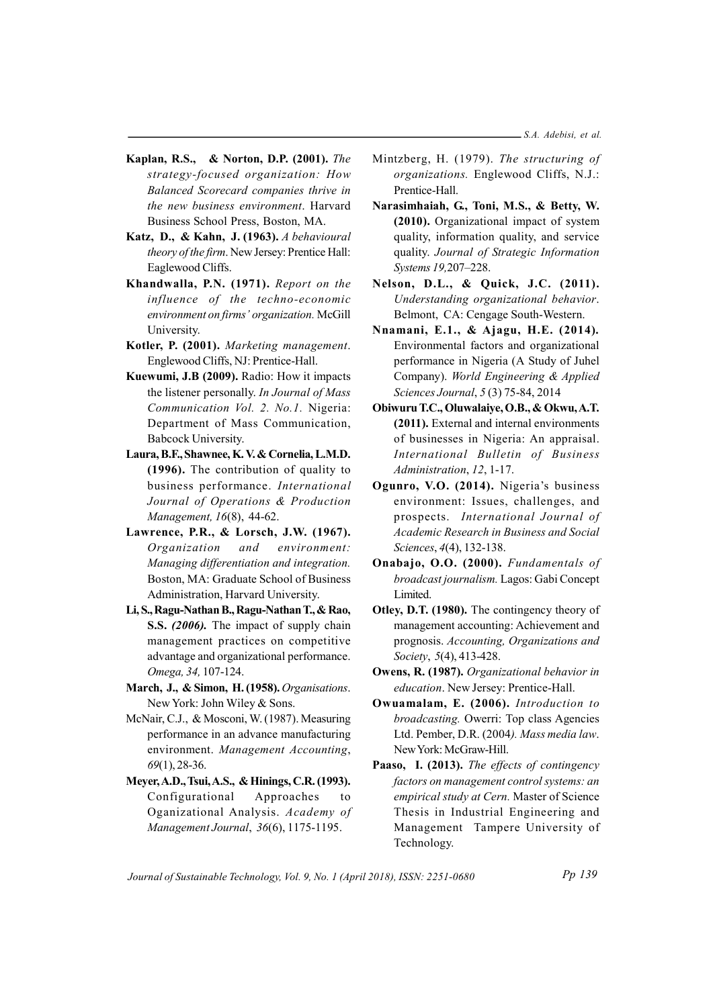- Kaplan, R.S., & Norton, D.P. (2001). The strategy-focused organization: How Balanced Scorecard companies thrive in the new business environment. Harvard Business School Press, Boston, MA.
- Katz, D., & Kahn, J. (1963). A behavioural theory of the firm. New Jersey: Prentice Hall: Eaglewood Cliffs.
- Khandwalla, P.N. (1971). Report on the influence of the techno-economic environment on firms' organization. McGill University.
- Kotler, P. (2001). Marketing management. Englewood Cliffs, NJ: Prentice-Hall.
- Kuewumi, J.B (2009). Radio: How it impacts the listener personally. In Journal of Mass Communication Vol. 2. No.1. Nigeria: Department of Mass Communication, Babcock University.
- Laura, B.F., Shawnee, K. V. & Cornelia, L.M.D. (1996). The contribution of quality to business performance. International Journal of Operations & Production Management, 16(8), 44-62.
- Lawrence, P.R., & Lorsch, J.W. (1967). Organization and environment: Managing differentiation and integration. Boston, MA: Graduate School of Business Administration, Harvard University.
- Li, S., Ragu-Nathan B., Ragu-Nathan T., & Rao, S.S. (2006). The impact of supply chain management practices on competitive advantage and organizational performance. Omega, 34, 107-124.
- March, J., & Simon, H. (1958). Organisations. New York: John Wiley & Sons.
- McNair, C.J., & Mosconi, W. (1987). Measuring performance in an advance manufacturing environment. Management Accounting, 69(1), 28-36.
- Meyer, A.D., Tsui, A.S., & Hinings, C.R. (1993). Configurational Approaches to Oganizational Analysis. Academy of Management Journal, 36(6), 1175-1195.
- Mintzberg, H. (1979). The structuring of organizations. Englewood Cliffs, N.J.: Prentice-Hall.
- Narasimhaiah, G., Toni, M.S., & Betty, W. (2010). Organizational impact of system quality, information quality, and service quality. Journal of Strategic Information Systems 19,207–228.
- Nelson, D.L., & Quick, J.C. (2011). Understanding organizational behavior. Belmont, CA: Cengage South-Western.
- Nnamani, E.1., & Ajagu, H.E. (2014). Environmental factors and organizational performance in Nigeria (A Study of Juhel Company). World Engineering & Applied Sciences Journal, 5 (3) 75-84, 2014
- Obiwuru T.C., Oluwalaiye, O.B., & Okwu, A.T. (2011). External and internal environments of businesses in Nigeria: An appraisal. International Bulletin of Business Administration, 12, 1-17.
- Ogunro, V.O. (2014). Nigeria's business environment: Issues, challenges, and prospects. International Journal of Academic Research in Business and Social Sciences, 4(4), 132-138.
- Onabajo, O.O. (2000). Fundamentals of broadcast journalism. Lagos: Gabi Concept Limited.
- Otley, D.T. (1980). The contingency theory of management accounting: Achievement and prognosis. Accounting, Organizations and Society, 5(4), 413-428.
- Owens, R. (1987). Organizational behavior in education. New Jersey: Prentice-Hall.
- Owuamalam, E. (2006). Introduction to broadcasting. Owerri: Top class Agencies Ltd. Pember, D.R. (2004). Mass media law. New York: McGraw-Hill.
- Paaso, I. (2013). The effects of contingency factors on management control systems: an empirical study at Cern. Master of Science Thesis in Industrial Engineering and Management Tampere University of Technology.